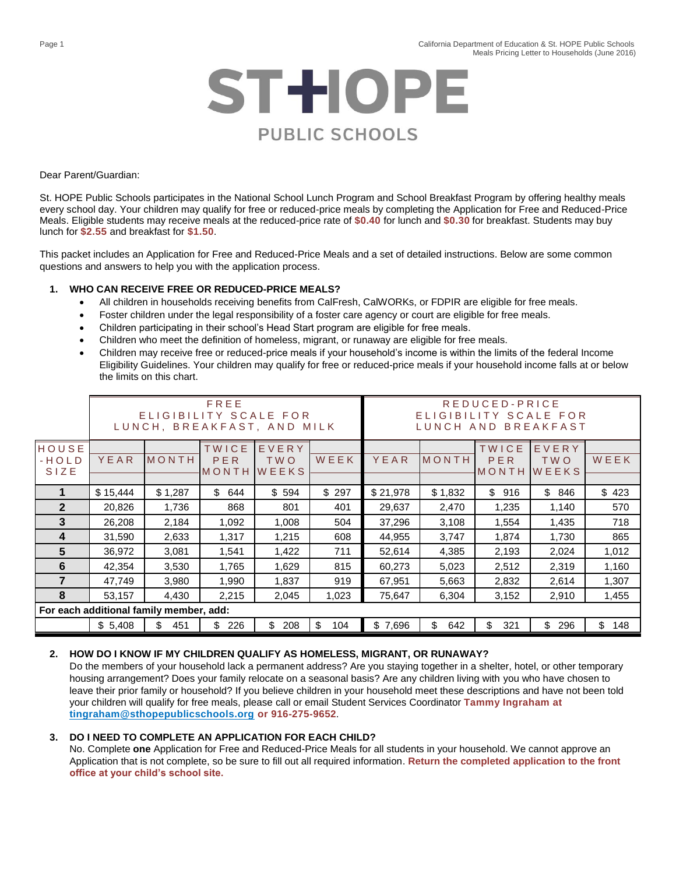

Dear Parent/Guardian:

St. HOPE Public Schools participates in the National School Lunch Program and School Breakfast Program by offering healthy meals every school day. Your children may qualify for free or reduced-price meals by completing the Application for Free and Reduced-Price Meals. Eligible students may receive meals at the reduced-price rate of **\$0.40** for lunch and **\$0.30** for breakfast. Students may buy lunch for **\$2.55** and breakfast for **\$1.50**.

This packet includes an Application for Free and Reduced-Price Meals and a set of detailed instructions. Below are some common questions and answers to help you with the application process.

#### **1. WHO CAN RECEIVE FREE OR REDUCED-PRICE MEALS?**

- All children in households receiving benefits from CalFresh, CalWORKs, or FDPIR are eligible for free meals.
- Foster children under the legal responsibility of a foster care agency or court are eligible for free meals.
- Children participating in their school's Head Start program are eligible for free meals.
- Children who meet the definition of homeless, migrant, or runaway are eligible for free meals.
- Children may receive free or reduced-price meals if your household's income is within the limits of the federal Income Eligibility Guidelines. Your children may qualify for free or reduced-price meals if your household income falls at or below the limits on this chart.

|                                         | FREE<br>ELIGIBILITY SCALE FOR<br>LUNCH, BREAKFAST, AND MILK |            |                       |                       |           | REDUCED-PRICE<br>ELIGIBILITY<br>SCALE FOR<br><b>BREAKFAST</b><br>LUNCH AND |           |                       |                              |           |
|-----------------------------------------|-------------------------------------------------------------|------------|-----------------------|-----------------------|-----------|----------------------------------------------------------------------------|-----------|-----------------------|------------------------------|-----------|
| HOUSE<br>$-HOLD$<br>SIZE                | YEAR                                                        | MONTH      | TWICE<br>PER<br>MONTH | EVERY<br>TWO<br>WEEKS | WEEK      | YEAR                                                                       | MONTH     | TWICE<br>PER<br>MONTH | EVERY<br>TWO<br><b>WEEKS</b> | WEEK      |
|                                         | \$15,444                                                    | \$1,287    | \$<br>644             | \$594                 | \$297     | \$21,978                                                                   | \$1,832   | \$<br>916             | \$<br>846                    | \$423     |
| $\mathbf{2}$                            | 20,826                                                      | 1,736      | 868                   | 801                   | 401       | 29,637                                                                     | 2,470     | 1,235                 | 1,140                        | 570       |
| 3                                       | 26,208                                                      | 2,184      | 1,092                 | 1,008                 | 504       | 37,296                                                                     | 3,108     | 1,554                 | 1,435                        | 718       |
| 4                                       | 31,590                                                      | 2,633      | 1,317                 | 1,215                 | 608       | 44,955                                                                     | 3,747     | 1,874                 | 1,730                        | 865       |
| 5                                       | 36,972                                                      | 3,081      | 1,541                 | 1,422                 | 711       | 52,614                                                                     | 4,385     | 2,193                 | 2,024                        | 1,012     |
| 6                                       | 42,354                                                      | 3,530      | 1,765                 | 1,629                 | 815       | 60,273                                                                     | 5,023     | 2,512                 | 2,319                        | 1,160     |
| 7                                       | 47,749                                                      | 3,980      | 1,990                 | 1,837                 | 919       | 67,951                                                                     | 5,663     | 2,832                 | 2,614                        | 1,307     |
| 8                                       | 53,157                                                      | 4,430      | 2,215                 | 2,045                 | 1,023     | 75,647                                                                     | 6,304     | 3,152                 | 2,910                        | 1,455     |
| For each additional family member, add: |                                                             |            |                       |                       |           |                                                                            |           |                       |                              |           |
|                                         | \$5,408                                                     | \$.<br>451 | \$<br>226             | \$<br>208             | \$<br>104 | \$7,696                                                                    | \$<br>642 | \$.<br>321            | \$.<br>296                   | \$<br>148 |

## **2. HOW DO I KNOW IF MY CHILDREN QUALIFY AS HOMELESS, MIGRANT, OR RUNAWAY?**

Do the members of your household lack a permanent address? Are you staying together in a shelter, hotel, or other temporary housing arrangement? Does your family relocate on a seasonal basis? Are any children living with you who have chosen to leave their prior family or household? If you believe children in your household meet these descriptions and have not been told your children will qualify for free meals, please call or email Student Services Coordinator **Tammy Ingraham at [tingraham@sthopepublicschools.org](mailto:tingraham@sthopepublicschools.org) or 916-275-9652**.

## **3. DO I NEED TO COMPLETE AN APPLICATION FOR EACH CHILD?**

No. Complete **one** Application for Free and Reduced-Price Meals for all students in your household. We cannot approve an Application that is not complete, so be sure to fill out all required information. **Return the completed application to the front office at your child's school site.**